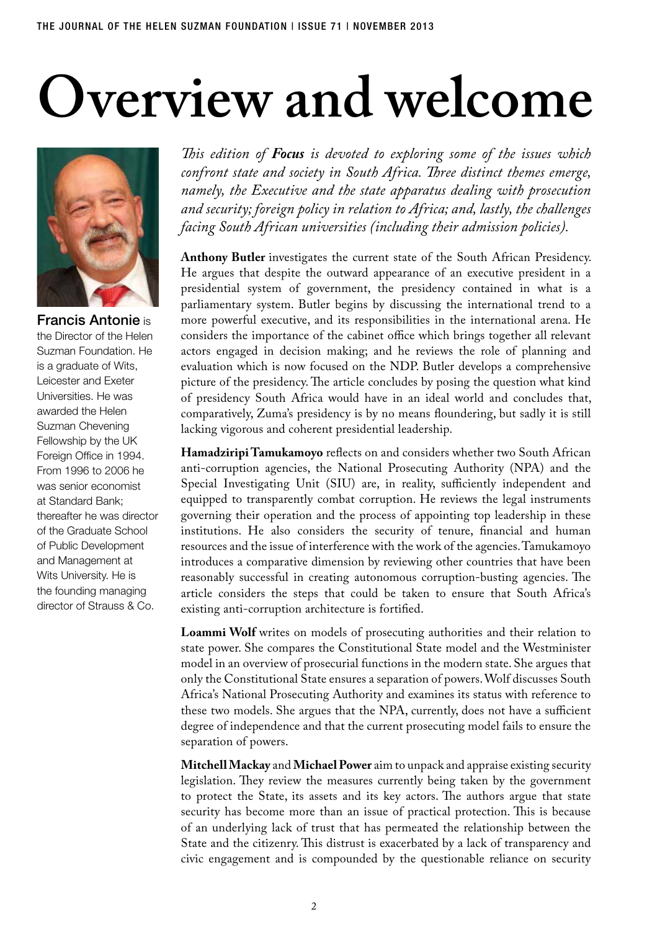## **Overview and welcome**



Francis Antonie is the Director of the Helen Suzman Foundation. He is a graduate of Wits, Leicester and Exeter Universities. He was awarded the Helen Suzman Chevening Fellowship by the UK Foreign Office in 1994. From 1996 to 2006 he was senior economist at Standard Bank; thereafter he was director of the Graduate School of Public Development and Management at Wits University. He is the founding managing director of Strauss & Co.

*This edition of Focus is devoted to exploring some of the issues which confront state and society in South Africa. Three distinct themes emerge, namely, the Executive and the state apparatus dealing with prosecution and security; foreign policy in relation to Africa; and, lastly, the challenges facing South African universities (including their admission policies).*

**Anthony Butler** investigates the current state of the South African Presidency. He argues that despite the outward appearance of an executive president in a presidential system of government, the presidency contained in what is a parliamentary system. Butler begins by discussing the international trend to a more powerful executive, and its responsibilities in the international arena. He considers the importance of the cabinet office which brings together all relevant actors engaged in decision making; and he reviews the role of planning and evaluation which is now focused on the NDP. Butler develops a comprehensive picture of the presidency. The article concludes by posing the question what kind of presidency South Africa would have in an ideal world and concludes that, comparatively, Zuma's presidency is by no means floundering, but sadly it is still lacking vigorous and coherent presidential leadership.

**Hamadziripi Tamukamoyo** reflects on and considers whether two South African anti-corruption agencies, the National Prosecuting Authority (NPA) and the Special Investigating Unit (SIU) are, in reality, sufficiently independent and equipped to transparently combat corruption. He reviews the legal instruments governing their operation and the process of appointing top leadership in these institutions. He also considers the security of tenure, financial and human resources and the issue of interference with the work of the agencies. Tamukamoyo introduces a comparative dimension by reviewing other countries that have been reasonably successful in creating autonomous corruption-busting agencies. The article considers the steps that could be taken to ensure that South Africa's existing anti-corruption architecture is fortified.

**Loammi Wolf** writes on models of prosecuting authorities and their relation to state power. She compares the Constitutional State model and the Westminister model in an overview of prosecurial functions in the modern state. She argues that only the Constitutional State ensures a separation of powers. Wolf discusses South Africa's National Prosecuting Authority and examines its status with reference to these two models. She argues that the NPA, currently, does not have a sufficient degree of independence and that the current prosecuting model fails to ensure the separation of powers.

**Mitchell Mackay** and **Michael Power** aim to unpack and appraise existing security legislation. They review the measures currently being taken by the government to protect the State, its assets and its key actors. The authors argue that state security has become more than an issue of practical protection. This is because of an underlying lack of trust that has permeated the relationship between the State and the citizenry. This distrust is exacerbated by a lack of transparency and civic engagement and is compounded by the questionable reliance on security